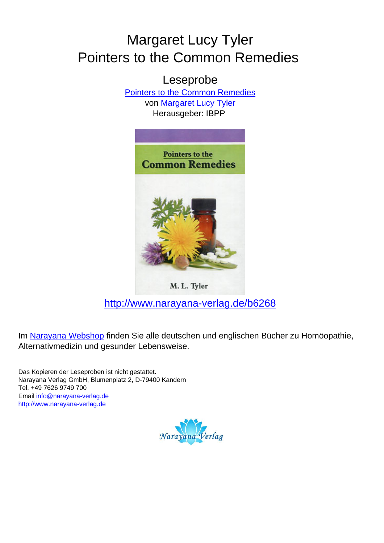# Margaret Lucy Tyler Pointers to the Common Remedies

Leseprobe [Pointers to the Common Remedies](http://www.narayana-verlag.de/Pointers-to-the-Common-Remedies-Margaret-Lucy-Tyler/b6268/partner/leseprobe) von [Margaret Lucy Tyler](http://www.narayana-verlag.de/Margaret-Lucy-Tyler/a900/partner/leseprobe) Herausgeber: IBPP



M. L. Tyler

[http://www.narayana-verlag.de/b6268](http://www.narayana-verlag.de/Pointers-to-the-Common-Remedies-Margaret-Lucy-Tyler/b6268/partner/leseprobe)

Im [Narayana Webshop](http://www.narayana-verlag.de/partner/leseprobe) finden Sie alle deutschen und englischen Bücher zu Homöopathie, Alternativmedizin und gesunder Lebensweise.

Das Kopieren der Leseproben ist nicht gestattet. Narayana Verlag GmbH, Blumenplatz 2, D-79400 Kandern Tel. +49 7626 9749 700 Email [info@narayana-verlag.de](mailto:info@narayana-verlag.de) [http://www.narayana-verlag.de](http://www.narayana-verlag.de/partner/leseprobe)

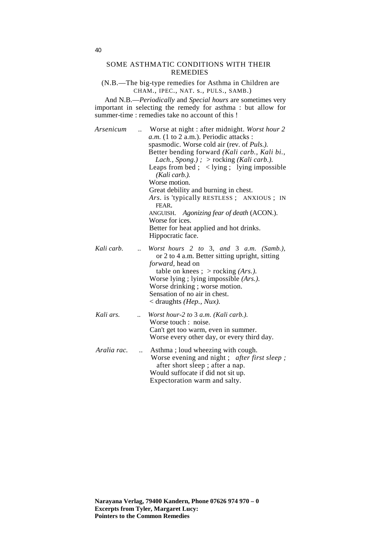#### SOME ASTHMATIC CONDITIONS WITH THEIR REMEDIES

(N.B.—The big-type remedies for Asthma in Children are CHAM., IPEC., NAT. s., PULS., SAMB.)

And N.B.—*Periodically* and *Special hours* are sometimes very important in selecting the remedy for asthma : but allow for summer-time : remedies take no account of this !

*Arsenicum ..* Worse at night : after midnight. *Worst hour 2 a.m.* (1 to 2 a.m.). Periodic attacks : spasmodic. Worse cold air (rev. of *Puls.).*  Better bending forward *(Kali carb., Kali bi., Lach., Spong.) ; >* rocking *(Kali carb.).*  Leaps from bed ;  $\langle$  lying ; lying impossible *(Kali carb.).*  Worse motion. Great debility and burning in chest. *Ars.* is 'typically RESTLESS ; ANXIOUS ; IN FEAR. ANGUISH. *Agonizing fear of death* (ACON.). Worse for ices. Better for heat applied and hot drinks. Hippocratic face. *Kali carb. .. Worst hours 2 to* 3, *and* 3 *a.m. (Samb.),* or 2 to 4 a.m. Better sitting upright, sitting *forward,* head on table on knees ; > rocking *(Ars.).*  Worse lying ; lying impossible *(Ars.).*  Worse drinking ; worse motion. Sensation of no air in chest. < draughts *(Hep., Nux). Kali ars. .. Worst hour-2 to* 3 *a.m. (Kali carb.).* Worse touch : noise. Can't get too warm, even in summer. Worse every other day, or every third day. *Aralia rac. ..* Asthma ; loud wheezing with cough. Worse evening and night ; *after first sleep ;* after short sleep ; after a nap. Would suffocate if did not sit up. Expectoration warm and salty.

**Narayana Verlag, 79400 Kandern, Phone 07626 974 970 – 0 Excerpts from Tyler, Margaret Lucy: Pointers to the Common Remedies**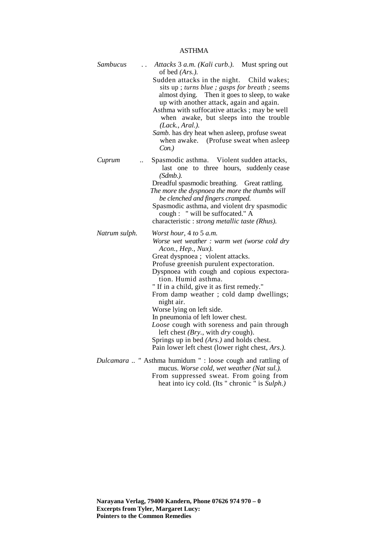| Sambucus      | Attacks 3 a.m. (Kali curb.). Must spring out<br>of bed $(Ars.)$ .<br>Sudden attacks in the night. Child wakes;<br>sits up ; turns blue ; gasps for breath ; seems<br>almost dying. Then it goes to sleep, to wake<br>up with another attack, again and again.<br>Asthma with suffocative attacks; may be well<br>when awake, but sleeps into the trouble<br>(Lack., Aral.).<br>Samb. has dry heat when asleep, profuse sweat<br>when awake. (Profuse sweat when asleep<br>Con.)                                                                                                                                                        |
|---------------|----------------------------------------------------------------------------------------------------------------------------------------------------------------------------------------------------------------------------------------------------------------------------------------------------------------------------------------------------------------------------------------------------------------------------------------------------------------------------------------------------------------------------------------------------------------------------------------------------------------------------------------|
| Cuprum        | Spasmodic asthma. Violent sudden attacks,<br>$\ddot{\phantom{a}}$<br>last one to three hours, suddenly cease<br>(Sdmb.).<br>Dreadful spasmodic breathing. Great rattling.<br>The more the dyspnoea the more the thumbs will<br>be clenched and fingers cramped.<br>Spasmodic asthma, and violent dry spasmodic<br>cough : " will be suffocated." A<br>characteristic : <i>strong metallic taste (Rhus)</i> .                                                                                                                                                                                                                           |
| Natrum sulph. | Worst hour, 4 to 5 a.m.<br>Worse wet weather : warm wet (worse cold dry<br>Acon., Hep., Nux).<br>Great dyspnoea ; violent attacks.<br>Profuse greenish purulent expectoration.<br>Dyspnoea with cough and copious expectora-<br>tion. Humid asthma.<br>" If in a child, give it as first remedy."<br>From damp weather; cold damp dwellings;<br>night air.<br>Worse lying on left side.<br>In pneumonia of left lower chest.<br>Loose cough with soreness and pain through<br>left chest ( <i>Bry.</i> , with $\frac{dy}{dx}$ cough).<br>Springs up in bed (Ars.) and holds chest.<br>Pain lower left chest (lower right chest, Ars.). |
|               | Dulcamara  " Asthma humidum " : loose cough and rattling of<br>mucus. Worse cold, wet weather (Nat sul.).<br>From suppressed sweat. From going from<br>heat into icy cold. (Its " chronic " is Sulph.)                                                                                                                                                                                                                                                                                                                                                                                                                                 |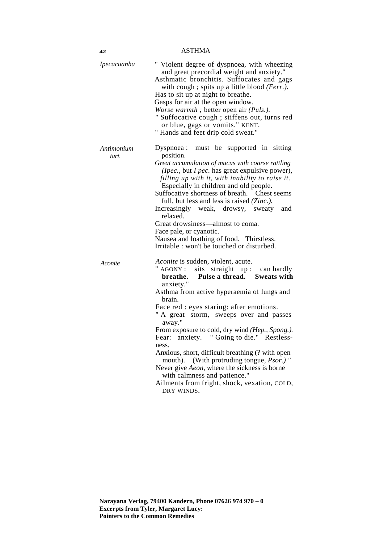| Ipecacuanha         | " Violent degree of dyspnoea, with wheezing<br>and great precordial weight and anxiety."<br>Asthmatic bronchitis. Suffocates and gags<br>with cough; spits up a little blood (Ferr.).<br>Has to sit up at night to breathe.<br>Gasps for air at the open window.<br>Worse warmth; better open air (Puls.).<br>" Suffocative cough ; stiffens out, turns red<br>or blue, gags or vomits." KENT.<br>" Hands and feet drip cold sweat."                                                                                                                                                                                                                            |
|---------------------|-----------------------------------------------------------------------------------------------------------------------------------------------------------------------------------------------------------------------------------------------------------------------------------------------------------------------------------------------------------------------------------------------------------------------------------------------------------------------------------------------------------------------------------------------------------------------------------------------------------------------------------------------------------------|
| Antimonium<br>tart. | Dyspnoea:<br>must be supported in sitting<br>position.<br>Great accumulation of mucus with coarse rattling<br>(Ipec., but I pec. has great expulsive power),<br>filling up with it, with inability to raise it.<br>Especially in children and old people.<br>Suffocative shortness of breath. Chest seems<br>full, but less and less is raised (Zinc.).<br>Increasingly weak, drowsy, sweaty<br>and<br>relaxed.<br>Great drowsiness—almost to coma.<br>Face pale, or cyanotic.<br>Nausea and loathing of food. Thirstless.<br>Irritable : won't be touched or disturbed.                                                                                        |
| Aconite             | Aconite is sudden, violent, acute.<br>" AGONY : sits straight up : can hardly<br>Pulse a thread. Sweats with<br>breathe.<br>anxiety."<br>Asthma from active hyperaemia of lungs and<br>brain.<br>Face red : eyes staring: after emotions.<br>" A great storm, sweeps over and passes<br>away."<br>From exposure to cold, dry wind (Hep., Spong.).<br>anxiety. "Going to die." Restless-<br>Fear:<br>ness.<br>Anxious, short, difficult breathing (? with open<br>mouth). (With protruding tongue, Psor.)"<br>Never give <i>Aeon</i> , where the sickness is borne<br>with calmness and patience."<br>Ailments from fright, shock, vexation, COLD,<br>DRY WINDS. |

**42**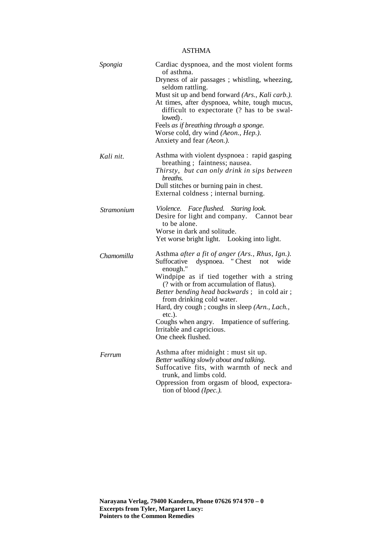| Spongia    | Cardiac dyspnoea, and the most violent forms<br>of asthma.                                              |
|------------|---------------------------------------------------------------------------------------------------------|
|            | Dryness of air passages; whistling, wheezing,<br>seldom rattling.                                       |
|            | Must sit up and bend forward (Ars., Kali carb.).                                                        |
|            | At times, after dyspnoea, white, tough mucus,<br>difficult to expectorate (? has to be swal-<br>lowed). |
|            | Feels as if breathing through a sponge.                                                                 |
|            | Worse cold, dry wind (Aeon., Hep.).                                                                     |
|            | Anxiety and fear (Aeon.).                                                                               |
| Kali nit.  | Asthma with violent dyspnoea : rapid gasping<br>breathing; faintness; nausea.                           |
|            | Thirsty, but can only drink in sips between<br>breaths.                                                 |
|            | Dull stitches or burning pain in chest.                                                                 |
|            | External coldness ; internal burning.                                                                   |
| Stramonium | Violence. Face flushed. Staring look.<br>Desire for light and company. Cannot bear                      |
|            | to be alone.                                                                                            |
|            | Worse in dark and solitude.<br>Yet worse bright light. Looking into light.                              |
| Chamomilla | Asthma after a fit of anger (Ars., Rhus, Ign.).<br>Suffocative<br>dyspnoea. "Chest<br>wide<br>not       |
|            | enough."                                                                                                |
|            | Windpipe as if tied together with a string<br>(? with or from accumulation of flatus).                  |
|            | <i>Better bending head backwards</i> ; in cold air;<br>from drinking cold water.                        |
|            | Hard, dry cough ; coughs in sleep (Arn., Lach.,<br>$etc.$ ).                                            |
|            | Coughs when angry. Impatience of suffering.                                                             |
|            | Irritable and capricious.                                                                               |
|            | One cheek flushed.                                                                                      |
| Ferrum     | Asthma after midnight : must sit up.                                                                    |
|            | Better walking slowly about and talking.                                                                |
|            | Suffocative fits, with warmth of neck and<br>trunk, and limbs cold.                                     |
|            | Oppression from orgasm of blood, expectora-                                                             |
|            | tion of blood (Ipec.).                                                                                  |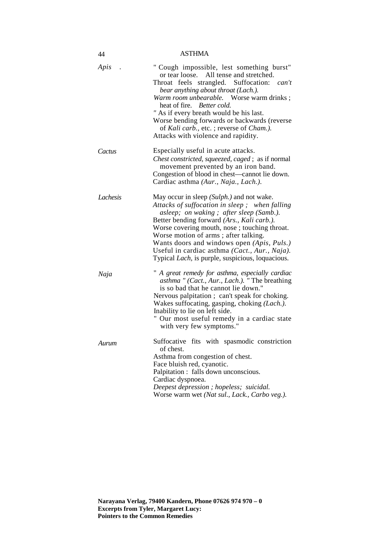| 44       | <b>ASTHMA</b>                                                                                                                                                                                                                                                                                                                                                                                                                          |
|----------|----------------------------------------------------------------------------------------------------------------------------------------------------------------------------------------------------------------------------------------------------------------------------------------------------------------------------------------------------------------------------------------------------------------------------------------|
| Apis     | " Cough impossible, lest something burst"<br>All tense and stretched.<br>or tear loose.<br>Throat feels strangled. Suffocation: can't<br>bear anything about throat (Lach.).<br>Warm room unbearable. Worse warm drinks;<br>heat of fire. Better cold.<br>" As if every breath would be his last.<br>Worse bending forwards or backwards (reverse<br>of Kali carb., etc.; reverse of Cham.).<br>Attacks with violence and rapidity.    |
| Cactus   | Especially useful in acute attacks.<br>Chest constricted, squeezed, caged; as if normal<br>movement prevented by an iron band.<br>Congestion of blood in chest-cannot lie down.<br>Cardiac asthma (Aur., Naja., Lach.).                                                                                                                                                                                                                |
| Lachesis | May occur in sleep (Sulph.) and not wake.<br>Attacks of suffocation in sleep; when falling<br>asleep; on waking; after sleep (Samb.).<br>Better bending forward (Ars., Kali carb.).<br>Worse covering mouth, nose; touching throat.<br>Worse motion of arms; after talking.<br>Wants doors and windows open (Apis, Puls.)<br>Useful in cardiac asthma (Cact., Aur., Naja).<br>Typical <i>Lach</i> , is purple, suspicious, loquacious. |
| Naja     | " A great remedy for asthma, especially cardiac<br>asthma " (Cact., Aur., Lach.). " The breathing<br>is so bad that he cannot lie down."<br>Nervous palpitation; can't speak for choking.<br>Wakes suffocating, gasping, choking (Lach.).<br>Inability to lie on left side.<br>Our most useful remedy in a cardiac state<br>with very few symptoms."                                                                                   |
| Aurum    | Suffocative fits with spasmodic constriction<br>of chest.<br>Asthma from congestion of chest.<br>Face bluish red, cyanotic.<br>Palpitation : falls down unconscious.<br>Cardiac dyspnoea.<br>Deepest depression; hopeless; suicidal.<br>Worse warm wet (Nat sul., Lack., Carbo veg.).                                                                                                                                                  |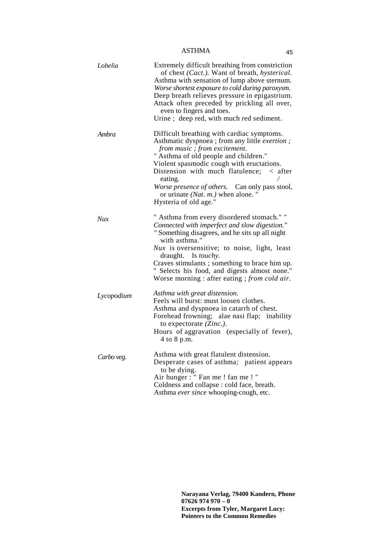| Lobelia    | Extremely difficult breathing from constriction<br>of chest (Cact.). Want of breath, hysterical.<br>Asthma with sensation of lump above sternum.<br>Worse shortest exposure to cold during paroxysm.<br>Deep breath relieves pressure in epigastrium.<br>Attack often preceded by prickling all over,<br>even to fingers and toes.<br>Urine; deep red, with much red sediment.                               |
|------------|--------------------------------------------------------------------------------------------------------------------------------------------------------------------------------------------------------------------------------------------------------------------------------------------------------------------------------------------------------------------------------------------------------------|
| Ambra      | Difficult breathing with cardiac symptoms.<br>Asthmatic dyspnoea ; from any little exertion ;<br>from music ; from excitement.<br>" Asthma of old people and children."<br>Violent spasmodic cough with eructations.<br>Distension with much flatulence;<br>$\langle$ after<br>eating.<br>Worse presence of others.<br>Can only pass stool,<br>or urinate $(Nat. m.)$ when alone. "<br>Hysteria of old age." |
| Nux        | " Asthma from every disordered stomach." "<br>Connected with imperfect and slow digestion."<br>" Something disagrees, and he sits up all night<br>with asthma."<br>Nux is oversensitive; to noise, light, least<br>draught. Is <i>touchy</i> .<br>Craves stimulants ; something to brace him up.<br>" Selects his food, and digests almost none."<br>Worse morning : after eating ; from cold air.           |
| Lycopodium | Asthma with great distension.<br>Feels will burst: must loosen clothes.<br>Asthma and dyspnoea in catarrh of chest.<br>Forehead frowning; alae nasi flap; inability<br>to expectorate (Zinc.).<br>Hours of aggravation (especially of fever),<br>4 to 8 p.m.                                                                                                                                                 |
| Carbo veg. | Asthma with great flatulent distension.<br>Desperate cases of asthma; patient appears<br>to be dying.<br>Air hunger : " Fan me ! fan me ! "<br>Coldness and collapse : cold face, breath.<br>Asthma ever since whooping-cough, etc.                                                                                                                                                                          |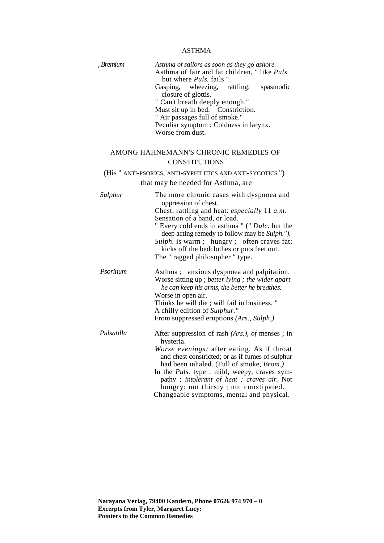| , Bremium  | Asthma of sailors as soon as they go ashore.<br>Asthma of fair and fat children, "like Puls.<br>but where <i>Puls</i> . fails ".<br>Gasping, wheezing, rattling;<br>spasmodic<br>closure of glottis.<br>" Can't breath deeply enough."<br>Must sit up in bed. Constriction.<br>" Air passages full of smoke."<br>Peculiar symptom : Coldness in larynx.<br>Worse from dust.                               |
|------------|-----------------------------------------------------------------------------------------------------------------------------------------------------------------------------------------------------------------------------------------------------------------------------------------------------------------------------------------------------------------------------------------------------------|
|            | AMONG HAHNEMANN'S CHRONIC REMEDIES OF<br><b>CONSTITUTIONS</b>                                                                                                                                                                                                                                                                                                                                             |
|            | (His " ANTI-PSORICS, ANTI-SYPHILITICS AND ANTI-SYCOTICS ")                                                                                                                                                                                                                                                                                                                                                |
|            | that may be needed for Asthma, are                                                                                                                                                                                                                                                                                                                                                                        |
| Sulphur    | The more chronic cases with dyspnoea and<br>oppression of chest.<br>Chest, rattling and heat: <i>especially</i> 11 <i>a.m.</i><br>Sensation of a band, or load.<br>" Every cold ends in asthma " (" Dulc. but the<br>deep acting remedy to follow may be Sulph.").<br>Sulph. is warm; hungry; often craves fat;<br>kicks off the bedclothes or puts feet out.<br>The "ragged philosopher" type.           |
| Psorinum   | Asthma; anxious dyspnoea and palpitation.<br>Worse sitting up ; better lying ; the wider apart<br>he can keep his arms, the better he breathes.<br>Worse in open air.<br>Thinks he will die; will fail in business. "<br>A chilly edition of Sulphur."<br>From suppressed eruptions (Ars., Sulph.).                                                                                                       |
| Pulsatilla | After suppression of rash $(Ars.)$ , of menses; in<br>hysteria.<br>Worse evenings; after eating. As if throat<br>and chest constricted; or as if fumes of sulphur<br>had been inhaled. (Full of smoke, Brom.)<br>In the <i>Puls</i> . type : mild, weepy, craves sym-<br>pathy; intolerant of heat; craves air. Not<br>hungry; not thirsty; not constipated.<br>Changeable symptoms, mental and physical. |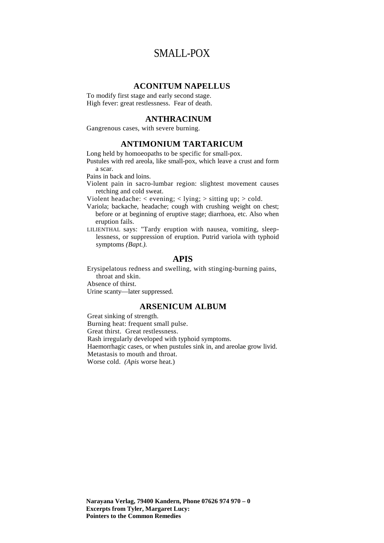## SMALL-POX

#### **ACONITUM NAPELLUS**

To modify first stage and early second stage. High fever: great restlessness. Fear of death.

#### **ANTHRACINUM**

Gangrenous cases, with severe burning.

#### **ANTIMONIUM TARTARICUM**

Long held by homoeopaths to be specific for small-pox.

Pustules with red areola, like small-pox, which leave a crust and form a scar.

Pains in back and loins.

Violent pain in sacro-lumbar region: slightest movement causes retching and cold sweat.

Violent headache:  $\langle$  evening;  $\langle$  lying;  $\rangle$  sitting up;  $\rangle$  cold.

Variola; backache, headache; cough with crushing weight on chest; before or at beginning of eruptive stage; diarrhoea, etc. Also when eruption fails.

LILIENTHAL says: "Tardy eruption with nausea, vomiting, sleeplessness, or suppression of eruption. Putrid variola with typhoid symptoms *(Bapt.).*

#### **APIS**

Erysipelatous redness and swelling, with stinging-burning pains, throat and skin.

Absence of thirst.

Urine scanty—later suppressed.

#### **ARSENICUM ALBUM**

Great sinking of strength. Burning heat: frequent small pulse. Great thirst. Great restlessness. Rash irregularly developed with typhoid symptoms. Haemorrhagic cases, or when pustules sink in, and areolae grow livid. Metastasis to mouth and throat. Worse cold. *(Apis* worse heat.)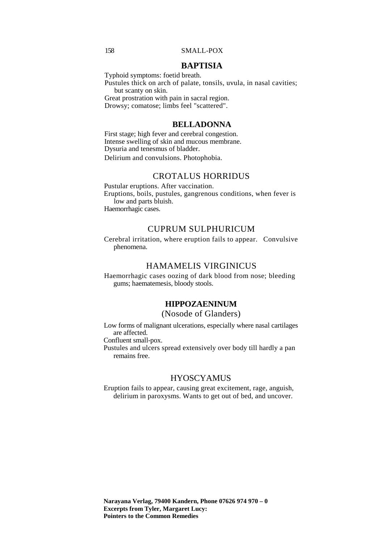#### 158 SMALL-POX

#### **BAPTISIA**

Typhoid symptoms: foetid breath.

Pustules thick on arch of palate, tonsils, uvula, in nasal cavities; but scanty on skin.

Great prostration with pain in sacral region.

Drowsy; comatose; limbs feel "scattered".

### **BELLADONNA**

First stage; high fever and cerebral congestion. Intense swelling of skin and mucous membrane. Dysuria and tenesmus of bladder. Delirium and convulsions. Photophobia.

#### CROTALUS HORRIDUS

Pustular eruptions. After vaccination. Eruptions, boils, pustules, gangrenous conditions, when fever is low and parts bluish. Haemorrhagic cases.

#### CUPRUM SULPHURICUM

Cerebral irritation, where eruption fails to appear. Convulsive phenomena.

#### HAMAMELIS VIRGINICUS

Haemorrhagic cases oozing of dark blood from nose; bleeding gums; haematemesis, bloody stools.

#### **HIPPOZAENINUM**

#### (Nosode of Glanders)

Low forms of malignant ulcerations, especially where nasal cartilages are affected.

Confluent small-pox.

Pustules and ulcers spread extensively over body till hardly a pan remains free.

#### **HYOSCYAMUS**

Eruption fails to appear, causing great excitement, rage, anguish, delirium in paroxysms. Wants to get out of bed, and uncover.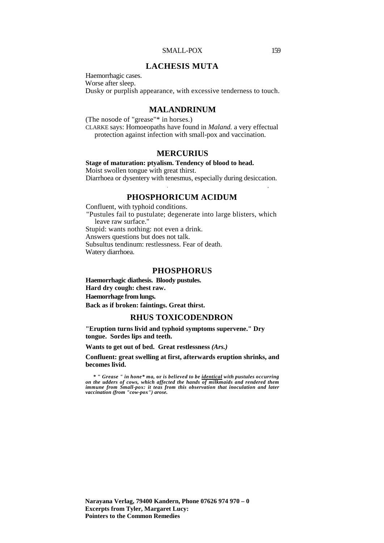#### SMALL-POX 159

#### **LACHESIS MUTA**

Haemorrhagic cases. Worse after sleep. Dusky or purplish appearance, with excessive tenderness to touch.

#### **MALANDRINUM**

(The nosode of "grease"\* in horses.) CLARKE says: Homoeopaths have found in *Maland.* a very effectual protection against infection with small-pox and vaccination.

#### **MERCURIUS**

**Stage of maturation: ptyalism. Tendency of blood to head.** Moist swollen tongue with great thirst. Diarrhoea or dysentery with tenesmus, especially during desiccation.

### **PHOSPHORICUM ACIDUM**

 $\overline{\phantom{a}}$ .

Confluent, with typhoid conditions. "Pustules fail to pustulate; degenerate into large blisters, which leave raw surface." Stupid: wants nothing: not even a drink. Answers questions but does not talk. Subsultus tendinum: restlessness. Fear of death. Watery diarrhoea.

#### **PHOSPHORUS**

**Haemorrhagic diathesis. Bloody pustules. Hard dry cough: chest raw.** 

**Haemorrhage from lungs.** 

**Back as if broken: faintings. Great thirst.**

#### **RHUS TOXICODENDRON**

**"Eruption turns livid and typhoid symptoms supervene." Dry tongue. Sordes lips and teeth.** 

**Wants to get out of bed. Great restlessness** *(Ars.)* 

**Confluent: great swelling at first, afterwards eruption shrinks, and becomes livid.**

**\* "** *Grease " in hone\* ma,* **or** *is believed to be identical with pustules occurring on the udders of cows, which affected the hands of milkmaids and rendered them*  immune from Small-pox: it teas from this observation that inoculation and later *vaccination (from "cow-pox") arose.*

**Narayana Verlag, 79400 Kandern, Phone 07626 974 970 – 0 Excerpts from Tyler, Margaret Lucy: Pointers to the Common Remedies**